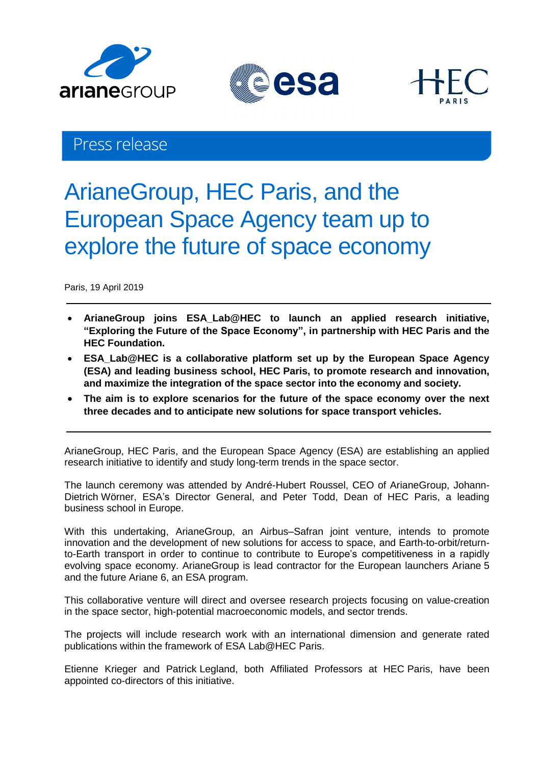





# Press release

# ArianeGroup, HEC Paris, and the European Space Agency team up to explore the future of space economy

Paris, 19 April 2019

- **ArianeGroup joins ESA\_Lab@HEC to launch an applied research initiative, "Exploring the Future of the Space Economy", in partnership with HEC Paris and the HEC Foundation.**
- **ESA\_Lab@HEC is a collaborative platform set up by the European Space Agency (ESA) and leading business school, HEC Paris, to promote research and innovation, and maximize the integration of the space sector into the economy and society.**
- **The aim is to explore scenarios for the future of the space economy over the next three decades and to anticipate new solutions for space transport vehicles.**

ArianeGroup, HEC Paris, and the European Space Agency (ESA) are establishing an applied research initiative to identify and study long-term trends in the space sector.

The launch ceremony was attended by André-Hubert Roussel, CEO of ArianeGroup, Johann-Dietrich Wörner, ESA's Director General, and Peter Todd, Dean of HEC Paris, a leading business school in Europe.

With this undertaking, ArianeGroup, an Airbus–Safran joint venture, intends to promote innovation and the development of new solutions for access to space, and Earth-to-orbit/returnto-Earth transport in order to continue to contribute to Europe's competitiveness in a rapidly evolving space economy. ArianeGroup is lead contractor for the European launchers Ariane 5 and the future Ariane 6, an ESA program.

This collaborative venture will direct and oversee research projects focusing on value-creation in the space sector, high-potential macroeconomic models, and sector trends.

The projects will include research work with an international dimension and generate rated publications within the framework of ESA Lab@HEC Paris.

Etienne Krieger and Patrick Legland, both Affiliated Professors at HEC Paris, have been appointed co-directors of this initiative.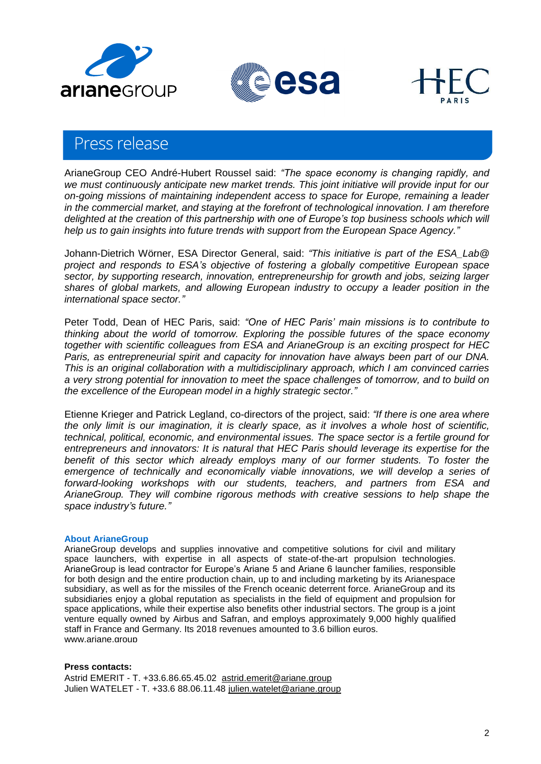





# Press release

ArianeGroup CEO André-Hubert Roussel said: *"The space economy is changing rapidly, and we must continuously anticipate new market trends. This joint initiative will provide input for our on-going missions of maintaining independent access to space for Europe, remaining a leader in the commercial market, and staying at the forefront of technological innovation. I am therefore delighted at the creation of this partnership with one of Europe's top business schools which will help us to gain insights into future trends with support from the European Space Agency."*

Johann-Dietrich Wörner, ESA Director General, said: *"This initiative is part of the ESA\_Lab@ project and responds to ESA's objective of fostering a globally competitive European space sector, by supporting research, innovation, entrepreneurship for growth and jobs, seizing larger shares of global markets, and allowing European industry to occupy a leader position in the international space sector."*

Peter Todd, Dean of HEC Paris, said: *"One of HEC Paris' main missions is to contribute to thinking about the world of tomorrow. Exploring the possible futures of the space economy together with scientific colleagues from ESA and ArianeGroup is an exciting prospect for HEC Paris, as entrepreneurial spirit and capacity for innovation have always been part of our DNA. This is an original collaboration with a multidisciplinary approach, which I am convinced carries a very strong potential for innovation to meet the space challenges of tomorrow, and to build on the excellence of the European model in a highly strategic sector."*

Etienne Krieger and Patrick Legland, co-directors of the project, said: *"If there is one area where the only limit is our imagination, it is clearly space, as it involves a whole host of scientific, technical, political, economic, and environmental issues. The space sector is a fertile ground for entrepreneurs and innovators: It is natural that HEC Paris should leverage its expertise for the benefit of this sector which already employs many of our former students. To foster the*  emergence of technically and economically viable innovations, we will develop a series of *forward-looking workshops with our students, teachers, and partners from ESA and ArianeGroup. They will combine rigorous methods with creative sessions to help shape the space industry's future."*

## **About ArianeGroup**

ArianeGroup develops and supplies innovative and competitive solutions for civil and military space launchers, with expertise in all aspects of state-of-the-art propulsion technologies. ArianeGroup is lead contractor for Europe's Ariane 5 and Ariane 6 launcher families, responsible for both design and the entire production chain, up to and including marketing by its Arianespace subsidiary, as well as for the missiles of the French oceanic deterrent force. ArianeGroup and its subsidiaries enjoy a global reputation as specialists in the field of equipment and propulsion for space applications, while their expertise also benefits other industrial sectors. The group is a joint venture equally owned by Airbus and Safran, and employs approximately 9,000 highly qualified staff in France and Germany. Its 2018 revenues amounted to 3.6 billion euros. [www.ariane.group](http://www.ariane.group/)

### **Press contacts:**

Astrid EMERIT - T. +33.6.86.65.45.02 [astrid.emerit@ariane.group](mailto:astrid.emerit@ariane.group) Julien WATELET - T. +33.6 88.06.11.48 [julien.watelet@ariane.group](mailto:julien.watelet@ariane.group)